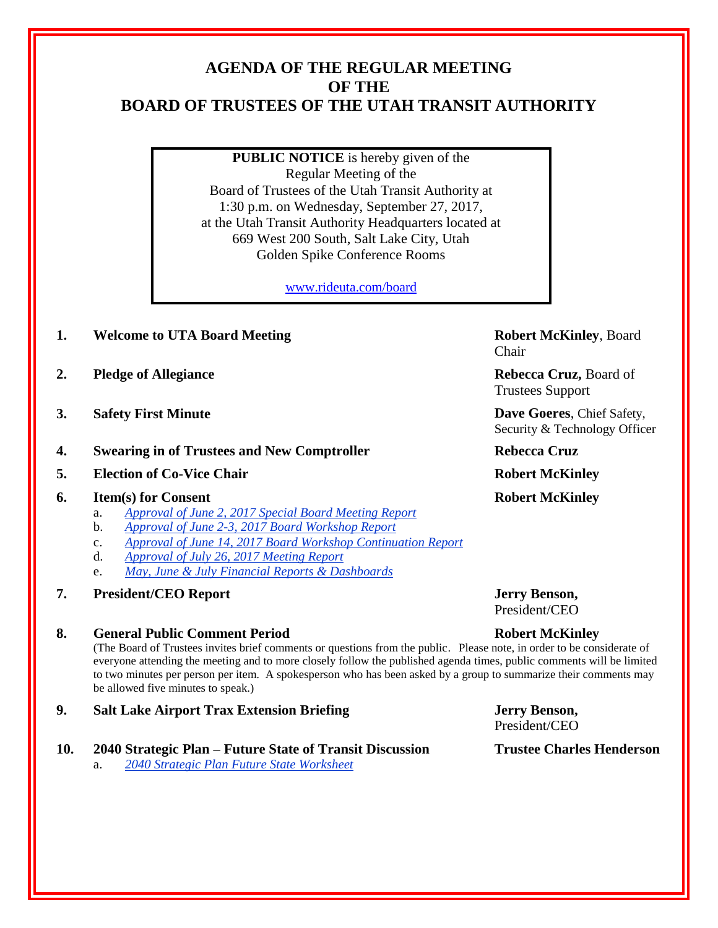# **AGENDA OF THE REGULAR MEETING OF THE BOARD OF TRUSTEES OF THE UTAH TRANSIT AUTHORITY**

**PUBLIC NOTICE** is hereby given of the Regular Meeting of the Board of Trustees of the Utah Transit Authority at 1:30 p.m. on Wednesday, September 27, 2017, at the Utah Transit Authority Headquarters located at 669 West 200 South, Salt Lake City, Utah Golden Spike Conference Rooms

[www.rideuta.com/board](http://www.rideuta.com/board)

- **1. Welcome to UTA Board Meeting Robert McKinley**, Board
- **2. Pledge of Allegiance Rebecca Cruz, Board of**
- **3. Safety First Minute Dave Goeres**, Chief Safety,
- **4. Swearing in of Trustees and New Comptroller Rebecca Cruz**
- **5. Election of Co-Vice Chair Robert McKinley**

## **6. Item(s) for Consent Robert McKinley**

- a. *Approval of June 2, 2017 Special Board Meeting Report*
- b. *Approval of June 2-3, 2017 Board Workshop Report*
- c. *Approval of June 14, 2017 Board Workshop Continuation Report*
- d. *Approval of July 26, 2017 Meeting Report*
- e. *May, June & July Financial Reports & Dashboards*
- **7. President/CEO Report Jerry Benson,**

## **8. General Public Comment Period Robert McKinley**

(The Board of Trustees invites brief comments or questions from the public. Please note, in order to be considerate of everyone attending the meeting and to more closely follow the published agenda times, public comments will be limited to two minutes per person per item. A spokesperson who has been asked by a group to summarize their comments may be allowed five minutes to speak.)

**9. Salt Lake Airport Trax Extension Briefing Jerry Benson,** 

## **10. 2040 Strategic Plan – Future State of Transit Discussion Trustee Charles Henderson**

a. *2040 Strategic Plan Future State Worksheet*

Chair

Trustees Support

Security & Technology Officer

President/CEO

President/CEO